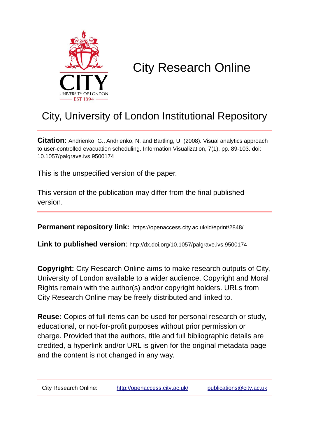

# City Research Online

# City, University of London Institutional Repository

**Citation**: Andrienko, G., Andrienko, N. and Bartling, U. (2008). Visual analytics approach to user-controlled evacuation scheduling. Information Visualization, 7(1), pp. 89-103. doi: 10.1057/palgrave.ivs.9500174

This is the unspecified version of the paper.

This version of the publication may differ from the final published version.

**Permanent repository link:** https://openaccess.city.ac.uk/id/eprint/2848/

**Link to published version**: http://dx.doi.org/10.1057/palgrave.ivs.9500174

**Copyright:** City Research Online aims to make research outputs of City, University of London available to a wider audience. Copyright and Moral Rights remain with the author(s) and/or copyright holders. URLs from City Research Online may be freely distributed and linked to.

**Reuse:** Copies of full items can be used for personal research or study, educational, or not-for-profit purposes without prior permission or charge. Provided that the authors, title and full bibliographic details are credited, a hyperlink and/or URL is given for the original metadata page and the content is not changed in any way.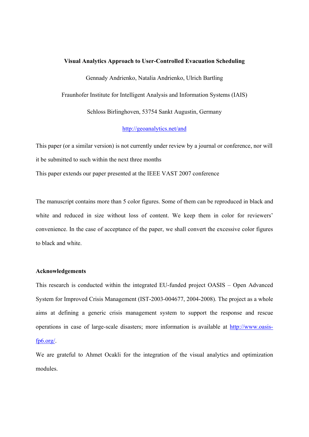#### **Visual Analytics Approach to User-Controlled Evacuation Scheduling**

Gennady Andrienko, Natalia Andrienko, Ulrich Bartling

Fraunhofer Institute for Intelligent Analysis and Information Systems (IAIS)

Schloss Birlinghoven, 53754 Sankt Augustin, Germany

http://geoanalytics.net/and

This paper (or a similar version) is not currently under review by a journal or conference, nor will it be submitted to such within the next three months

This paper extends our paper presented at the IEEE VAST 2007 conference

The manuscript contains more than 5 color figures. Some of them can be reproduced in black and white and reduced in size without loss of content. We keep them in color for reviewers' convenience. In the case of acceptance of the paper, we shall convert the excessive color figures to black and white.

### **Acknowledgements**

This research is conducted within the integrated EU-funded project OASIS – Open Advanced System for Improved Crisis Management (IST-2003-004677, 2004-2008). The project as a whole aims at defining a generic crisis management system to support the response and rescue operations in case of large-scale disasters; more information is available at http://www.oasisfp6.org/.

We are grateful to Ahmet Ocakli for the integration of the visual analytics and optimization modules.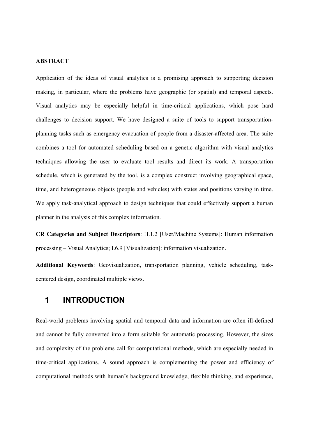## **ABSTRACT**

Application of the ideas of visual analytics is a promising approach to supporting decision making, in particular, where the problems have geographic (or spatial) and temporal aspects. Visual analytics may be especially helpful in time-critical applications, which pose hard challenges to decision support. We have designed a suite of tools to support transportationplanning tasks such as emergency evacuation of people from a disaster-affected area. The suite combines a tool for automated scheduling based on a genetic algorithm with visual analytics techniques allowing the user to evaluate tool results and direct its work. A transportation schedule, which is generated by the tool, is a complex construct involving geographical space, time, and heterogeneous objects (people and vehicles) with states and positions varying in time. We apply task-analytical approach to design techniques that could effectively support a human planner in the analysis of this complex information.

**CR Categories and Subject Descriptors**: H.1.2 [User/Machine Systems]: Human information processing – Visual Analytics; I.6.9 [Visualization]: information visualization.

**Additional Keywords**: Geovisualization, transportation planning, vehicle scheduling, taskcentered design, coordinated multiple views.

# **1 INTRODUCTION**

Real-world problems involving spatial and temporal data and information are often ill-defined and cannot be fully converted into a form suitable for automatic processing. However, the sizes and complexity of the problems call for computational methods, which are especially needed in time-critical applications. A sound approach is complementing the power and efficiency of computational methods with human's background knowledge, flexible thinking, and experience,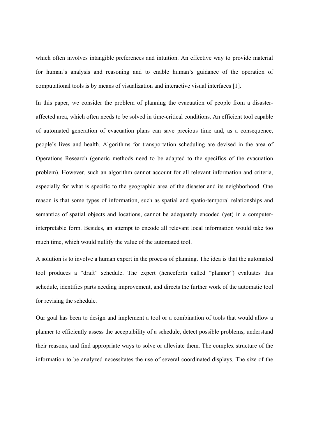which often involves intangible preferences and intuition. An effective way to provide material for human's analysis and reasoning and to enable human's guidance of the operation of computational tools is by means of visualization and interactive visual interfaces [1].

In this paper, we consider the problem of planning the evacuation of people from a disasteraffected area, which often needs to be solved in time-critical conditions. An efficient tool capable of automated generation of evacuation plans can save precious time and, as a consequence, people's lives and health. Algorithms for transportation scheduling are devised in the area of Operations Research (generic methods need to be adapted to the specifics of the evacuation problem). However, such an algorithm cannot account for all relevant information and criteria, especially for what is specific to the geographic area of the disaster and its neighborhood. One reason is that some types of information, such as spatial and spatio-temporal relationships and semantics of spatial objects and locations, cannot be adequately encoded (yet) in a computerinterpretable form. Besides, an attempt to encode all relevant local information would take too much time, which would nullify the value of the automated tool.

A solution is to involve a human expert in the process of planning. The idea is that the automated tool produces a "draft" schedule. The expert (henceforth called "planner") evaluates this schedule, identifies parts needing improvement, and directs the further work of the automatic tool for revising the schedule.

Our goal has been to design and implement a tool or a combination of tools that would allow a planner to efficiently assess the acceptability of a schedule, detect possible problems, understand their reasons, and find appropriate ways to solve or alleviate them. The complex structure of the information to be analyzed necessitates the use of several coordinated displays. The size of the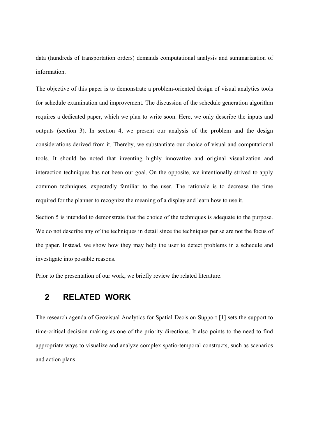data (hundreds of transportation orders) demands computational analysis and summarization of information.

The objective of this paper is to demonstrate a problem-oriented design of visual analytics tools for schedule examination and improvement. The discussion of the schedule generation algorithm requires a dedicated paper, which we plan to write soon. Here, we only describe the inputs and outputs (section 3). In section 4, we present our analysis of the problem and the design considerations derived from it. Thereby, we substantiate our choice of visual and computational tools. It should be noted that inventing highly innovative and original visualization and interaction techniques has not been our goal. On the opposite, we intentionally strived to apply common techniques, expectedly familiar to the user. The rationale is to decrease the time required for the planner to recognize the meaning of a display and learn how to use it.

Section 5 is intended to demonstrate that the choice of the techniques is adequate to the purpose. We do not describe any of the techniques in detail since the techniques per se are not the focus of the paper. Instead, we show how they may help the user to detect problems in a schedule and investigate into possible reasons.

Prior to the presentation of our work, we briefly review the related literature.

# **2 RELATED WORK**

The research agenda of Geovisual Analytics for Spatial Decision Support [1] sets the support to time-critical decision making as one of the priority directions. It also points to the need to find appropriate ways to visualize and analyze complex spatio-temporal constructs, such as scenarios and action plans.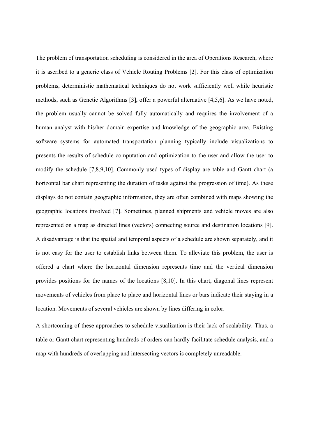The problem of transportation scheduling is considered in the area of Operations Research, where it is ascribed to a generic class of Vehicle Routing Problems [2]. For this class of optimization problems, deterministic mathematical techniques do not work sufficiently well while heuristic methods, such as Genetic Algorithms [3], offer a powerful alternative [4,5,6]. As we have noted, the problem usually cannot be solved fully automatically and requires the involvement of a human analyst with his/her domain expertise and knowledge of the geographic area. Existing software systems for automated transportation planning typically include visualizations to presents the results of schedule computation and optimization to the user and allow the user to modify the schedule [7,8,9,10]. Commonly used types of display are table and Gantt chart (a horizontal bar chart representing the duration of tasks against the progression of time). As these displays do not contain geographic information, they are often combined with maps showing the geographic locations involved [7]. Sometimes, planned shipments and vehicle moves are also represented on a map as directed lines (vectors) connecting source and destination locations [9]. A disadvantage is that the spatial and temporal aspects of a schedule are shown separately, and it is not easy for the user to establish links between them. To alleviate this problem, the user is offered a chart where the horizontal dimension represents time and the vertical dimension provides positions for the names of the locations [8,10]. In this chart, diagonal lines represent movements of vehicles from place to place and horizontal lines or bars indicate their staying in a location. Movements of several vehicles are shown by lines differing in color.

A shortcoming of these approaches to schedule visualization is their lack of scalability. Thus, a table or Gantt chart representing hundreds of orders can hardly facilitate schedule analysis, and a map with hundreds of overlapping and intersecting vectors is completely unreadable.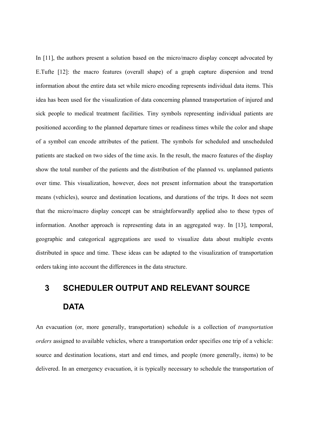In [11], the authors present a solution based on the micro/macro display concept advocated by E.Tufte [12]: the macro features (overall shape) of a graph capture dispersion and trend information about the entire data set while micro encoding represents individual data items. This idea has been used for the visualization of data concerning planned transportation of injured and sick people to medical treatment facilities. Tiny symbols representing individual patients are positioned according to the planned departure times or readiness times while the color and shape of a symbol can encode attributes of the patient. The symbols for scheduled and unscheduled patients are stacked on two sides of the time axis. In the result, the macro features of the display show the total number of the patients and the distribution of the planned vs. unplanned patients over time. This visualization, however, does not present information about the transportation means (vehicles), source and destination locations, and durations of the trips. It does not seem that the micro/macro display concept can be straightforwardly applied also to these types of information. Another approach is representing data in an aggregated way. In [13], temporal, geographic and categorical aggregations are used to visualize data about multiple events distributed in space and time. These ideas can be adapted to the visualization of transportation orders taking into account the differences in the data structure.

# **3 SCHEDULER OUTPUT AND RELEVANT SOURCE DATA**

An evacuation (or, more generally, transportation) schedule is a collection of *transportation orders* assigned to available vehicles, where a transportation order specifies one trip of a vehicle: source and destination locations, start and end times, and people (more generally, items) to be delivered. In an emergency evacuation, it is typically necessary to schedule the transportation of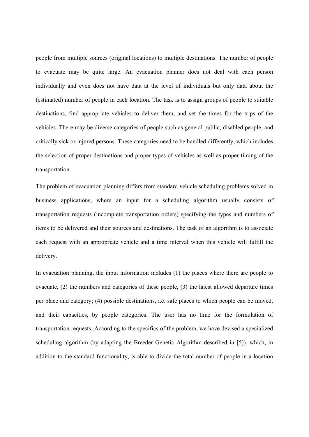people from multiple sources (original locations) to multiple destinations. The number of people to evacuate may be quite large. An evacuation planner does not deal with each person individually and even does not have data at the level of individuals but only data about the (estimated) number of people in each location. The task is to assign groups of people to suitable destinations, find appropriate vehicles to deliver them, and set the times for the trips of the vehicles. There may be diverse categories of people such as general public, disabled people, and critically sick or injured persons. These categories need to be handled differently, which includes the selection of proper destinations and proper types of vehicles as well as proper timing of the transportation.

The problem of evacuation planning differs from standard vehicle scheduling problems solved in business applications, where an input for a scheduling algorithm usually consists of transportation requests (incomplete transportation orders) specifying the types and numbers of items to be delivered and their sources and destinations. The task of an algorithm is to associate each request with an appropriate vehicle and a time interval when this vehicle will fulfill the delivery.

In evacuation planning, the input information includes (1) the places where there are people to evacuate, (2) the numbers and categories of these people, (3) the latest allowed departure times per place and category; (4) possible destinations, i.e. safe places to which people can be moved, and their capacities, by people categories. The user has no time for the formulation of transportation requests. According to the specifics of the problem, we have devised a specialized scheduling algorithm (by adapting the Breeder Genetic Algorithm described in [5]), which, in addition to the standard functionality, is able to divide the total number of people in a location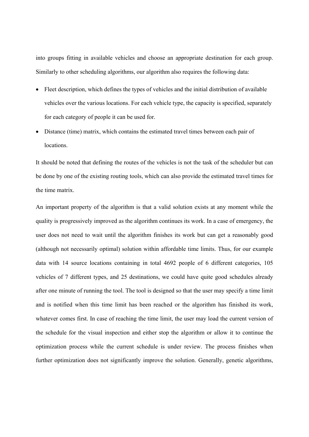into groups fitting in available vehicles and choose an appropriate destination for each group. Similarly to other scheduling algorithms, our algorithm also requires the following data:

- Fleet description, which defines the types of vehicles and the initial distribution of available vehicles over the various locations. For each vehicle type, the capacity is specified, separately for each category of people it can be used for.
- Distance (time) matrix, which contains the estimated travel times between each pair of locations.

It should be noted that defining the routes of the vehicles is not the task of the scheduler but can be done by one of the existing routing tools, which can also provide the estimated travel times for the time matrix.

An important property of the algorithm is that a valid solution exists at any moment while the quality is progressively improved as the algorithm continues its work. In a case of emergency, the user does not need to wait until the algorithm finishes its work but can get a reasonably good (although not necessarily optimal) solution within affordable time limits. Thus, for our example data with 14 source locations containing in total 4692 people of 6 different categories, 105 vehicles of 7 different types, and 25 destinations, we could have quite good schedules already after one minute of running the tool. The tool is designed so that the user may specify a time limit and is notified when this time limit has been reached or the algorithm has finished its work, whatever comes first. In case of reaching the time limit, the user may load the current version of the schedule for the visual inspection and either stop the algorithm or allow it to continue the optimization process while the current schedule is under review. The process finishes when further optimization does not significantly improve the solution. Generally, genetic algorithms,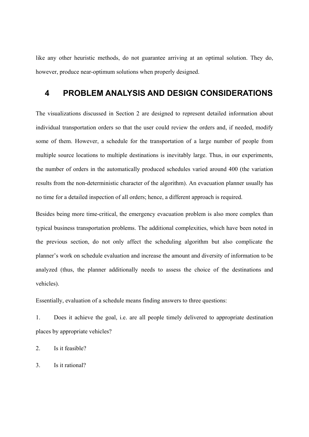like any other heuristic methods, do not guarantee arriving at an optimal solution. They do, however, produce near-optimum solutions when properly designed.

# **4 PROBLEM ANALYSIS AND DESIGN CONSIDERATIONS**

The visualizations discussed in Section 2 are designed to represent detailed information about individual transportation orders so that the user could review the orders and, if needed, modify some of them. However, a schedule for the transportation of a large number of people from multiple source locations to multiple destinations is inevitably large. Thus, in our experiments, the number of orders in the automatically produced schedules varied around 400 (the variation results from the non-deterministic character of the algorithm). An evacuation planner usually has no time for a detailed inspection of all orders; hence, a different approach is required.

Besides being more time-critical, the emergency evacuation problem is also more complex than typical business transportation problems. The additional complexities, which have been noted in the previous section, do not only affect the scheduling algorithm but also complicate the planner's work on schedule evaluation and increase the amount and diversity of information to be analyzed (thus, the planner additionally needs to assess the choice of the destinations and vehicles).

Essentially, evaluation of a schedule means finding answers to three questions:

1. Does it achieve the goal, i.e. are all people timely delivered to appropriate destination places by appropriate vehicles?

2. Is it feasible?

3. Is it rational?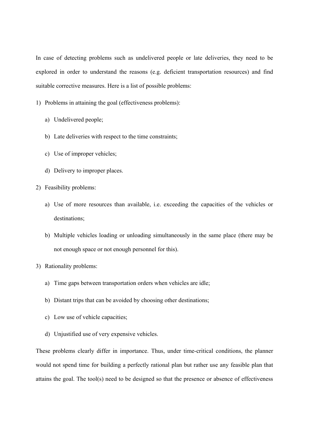In case of detecting problems such as undelivered people or late deliveries, they need to be explored in order to understand the reasons (e.g. deficient transportation resources) and find suitable corrective measures. Here is a list of possible problems:

1) Problems in attaining the goal (effectiveness problems):

- a) Undelivered people;
- b) Late deliveries with respect to the time constraints;
- c) Use of improper vehicles;
- d) Delivery to improper places.
- 2) Feasibility problems:
	- a) Use of more resources than available, i.e. exceeding the capacities of the vehicles or destinations;
	- b) Multiple vehicles loading or unloading simultaneously in the same place (there may be not enough space or not enough personnel for this).
- 3) Rationality problems:
	- a) Time gaps between transportation orders when vehicles are idle;
	- b) Distant trips that can be avoided by choosing other destinations;
	- c) Low use of vehicle capacities;
	- d) Unjustified use of very expensive vehicles.

These problems clearly differ in importance. Thus, under time-critical conditions, the planner would not spend time for building a perfectly rational plan but rather use any feasible plan that attains the goal. The tool(s) need to be designed so that the presence or absence of effectiveness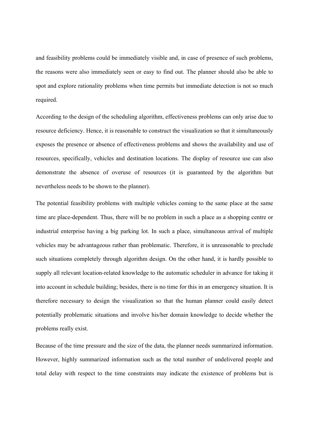and feasibility problems could be immediately visible and, in case of presence of such problems, the reasons were also immediately seen or easy to find out. The planner should also be able to spot and explore rationality problems when time permits but immediate detection is not so much required.

According to the design of the scheduling algorithm, effectiveness problems can only arise due to resource deficiency. Hence, it is reasonable to construct the visualization so that it simultaneously exposes the presence or absence of effectiveness problems and shows the availability and use of resources, specifically, vehicles and destination locations. The display of resource use can also demonstrate the absence of overuse of resources (it is guaranteed by the algorithm but nevertheless needs to be shown to the planner).

The potential feasibility problems with multiple vehicles coming to the same place at the same time are place-dependent. Thus, there will be no problem in such a place as a shopping centre or industrial enterprise having a big parking lot. In such a place, simultaneous arrival of multiple vehicles may be advantageous rather than problematic. Therefore, it is unreasonable to preclude such situations completely through algorithm design. On the other hand, it is hardly possible to supply all relevant location-related knowledge to the automatic scheduler in advance for taking it into account in schedule building; besides, there is no time for this in an emergency situation. It is therefore necessary to design the visualization so that the human planner could easily detect potentially problematic situations and involve his/her domain knowledge to decide whether the problems really exist.

Because of the time pressure and the size of the data, the planner needs summarized information. However, highly summarized information such as the total number of undelivered people and total delay with respect to the time constraints may indicate the existence of problems but is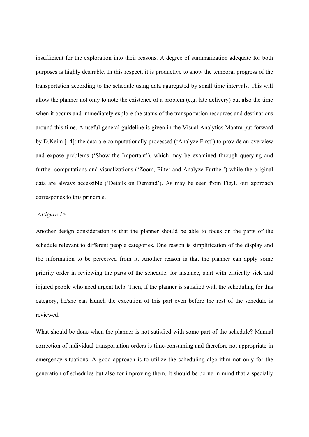insufficient for the exploration into their reasons. A degree of summarization adequate for both purposes is highly desirable. In this respect, it is productive to show the temporal progress of the transportation according to the schedule using data aggregated by small time intervals. This will allow the planner not only to note the existence of a problem (e.g. late delivery) but also the time when it occurs and immediately explore the status of the transportation resources and destinations around this time. A useful general guideline is given in the Visual Analytics Mantra put forward by D.Keim [14]: the data are computationally processed ('Analyze First') to provide an overview and expose problems ('Show the Important'), which may be examined through querying and further computations and visualizations ('Zoom, Filter and Analyze Further') while the original data are always accessible ('Details on Demand'). As may be seen from Fig.1, our approach corresponds to this principle.

#### *<Figure 1>*

Another design consideration is that the planner should be able to focus on the parts of the schedule relevant to different people categories. One reason is simplification of the display and the information to be perceived from it. Another reason is that the planner can apply some priority order in reviewing the parts of the schedule, for instance, start with critically sick and injured people who need urgent help. Then, if the planner is satisfied with the scheduling for this category, he/she can launch the execution of this part even before the rest of the schedule is reviewed.

What should be done when the planner is not satisfied with some part of the schedule? Manual correction of individual transportation orders is time-consuming and therefore not appropriate in emergency situations. A good approach is to utilize the scheduling algorithm not only for the generation of schedules but also for improving them. It should be borne in mind that a specially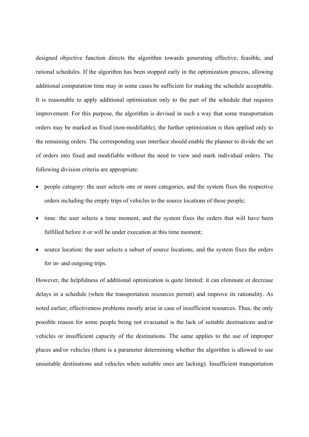designed objective function directs the algorithm towards generating effective, feasible, and rational schedules. If the algorithm has been stopped early in the optimization process, allowing additional computation time may in some cases be sufficient for making the schedule acceptable. It is reasonable to apply additional optimization only to the part of the schedule that requires improvement. For this purpose, the algorithm is devised in such a way that some transportation orders may be marked as fixed (non-modifiable); the further optimization is then applied only to the remaining orders. The corresponding user interface should enable the planner to divide the set of orders into fixed and modifiable without the need to view and mark individual orders. The following division criteria are appropriate:

- people category: the user selects one or more categories, and the system fixes the respective orders including the empty trips of vehicles to the source locations of these people;
- time: the user selects a time moment, and the system fixes the orders that will have been fulfilled before it or will be under execution at this time moment;
- source location: the user selects a subset of source locations, and the system fixes the orders for in- and outgoing trips.

However, the helpfulness of additional optimization is quite limited: it can eliminate or decrease delays in a schedule (when the transportation resources permit) and improve its rationality. As noted earlier, effectiveness problems mostly arise in case of insufficient resources. Thus, the only possible reason for some people being not evacuated is the lack of suitable destinations and/or vehicles or insufficient capacity of the destinations. The same applies to the use of improper places and/or vehicles (there is a parameter determining whether the algorithm is allowed to use unsuitable destinations and vehicles when suitable ones are lacking). Insufficient transportation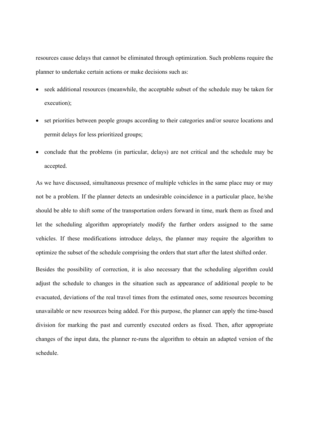resources cause delays that cannot be eliminated through optimization. Such problems require the planner to undertake certain actions or make decisions such as:

- seek additional resources (meanwhile, the acceptable subset of the schedule may be taken for execution);
- set priorities between people groups according to their categories and/or source locations and permit delays for less prioritized groups;
- conclude that the problems (in particular, delays) are not critical and the schedule may be accepted.

As we have discussed, simultaneous presence of multiple vehicles in the same place may or may not be a problem. If the planner detects an undesirable coincidence in a particular place, he/she should be able to shift some of the transportation orders forward in time, mark them as fixed and let the scheduling algorithm appropriately modify the further orders assigned to the same vehicles. If these modifications introduce delays, the planner may require the algorithm to optimize the subset of the schedule comprising the orders that start after the latest shifted order.

Besides the possibility of correction, it is also necessary that the scheduling algorithm could adjust the schedule to changes in the situation such as appearance of additional people to be evacuated, deviations of the real travel times from the estimated ones, some resources becoming unavailable or new resources being added. For this purpose, the planner can apply the time-based division for marking the past and currently executed orders as fixed. Then, after appropriate changes of the input data, the planner re-runs the algorithm to obtain an adapted version of the schedule.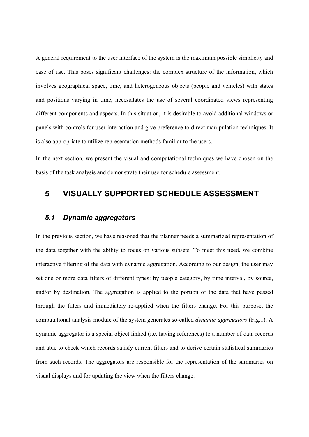A general requirement to the user interface of the system is the maximum possible simplicity and ease of use. This poses significant challenges: the complex structure of the information, which involves geographical space, time, and heterogeneous objects (people and vehicles) with states and positions varying in time, necessitates the use of several coordinated views representing different components and aspects. In this situation, it is desirable to avoid additional windows or panels with controls for user interaction and give preference to direct manipulation techniques. It is also appropriate to utilize representation methods familiar to the users.

In the next section, we present the visual and computational techniques we have chosen on the basis of the task analysis and demonstrate their use for schedule assessment.

# **5 VISUALLY SUPPORTED SCHEDULE ASSESSMENT**

# *5.1 Dynamic aggregators*

In the previous section, we have reasoned that the planner needs a summarized representation of the data together with the ability to focus on various subsets. To meet this need, we combine interactive filtering of the data with dynamic aggregation. According to our design, the user may set one or more data filters of different types: by people category, by time interval, by source, and/or by destination. The aggregation is applied to the portion of the data that have passed through the filters and immediately re-applied when the filters change. For this purpose, the computational analysis module of the system generates so-called *dynamic aggregators* (Fig.1). A dynamic aggregator is a special object linked (i.e. having references) to a number of data records and able to check which records satisfy current filters and to derive certain statistical summaries from such records. The aggregators are responsible for the representation of the summaries on visual displays and for updating the view when the filters change.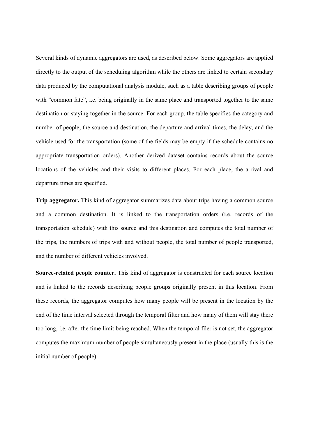Several kinds of dynamic aggregators are used, as described below. Some aggregators are applied directly to the output of the scheduling algorithm while the others are linked to certain secondary data produced by the computational analysis module, such as a table describing groups of people with "common fate", i.e. being originally in the same place and transported together to the same destination or staying together in the source. For each group, the table specifies the category and number of people, the source and destination, the departure and arrival times, the delay, and the vehicle used for the transportation (some of the fields may be empty if the schedule contains no appropriate transportation orders). Another derived dataset contains records about the source locations of the vehicles and their visits to different places. For each place, the arrival and departure times are specified.

**Trip aggregator.** This kind of aggregator summarizes data about trips having a common source and a common destination. It is linked to the transportation orders (i.e. records of the transportation schedule) with this source and this destination and computes the total number of the trips, the numbers of trips with and without people, the total number of people transported, and the number of different vehicles involved.

**Source-related people counter.** This kind of aggregator is constructed for each source location and is linked to the records describing people groups originally present in this location. From these records, the aggregator computes how many people will be present in the location by the end of the time interval selected through the temporal filter and how many of them will stay there too long, i.e. after the time limit being reached. When the temporal filer is not set, the aggregator computes the maximum number of people simultaneously present in the place (usually this is the initial number of people).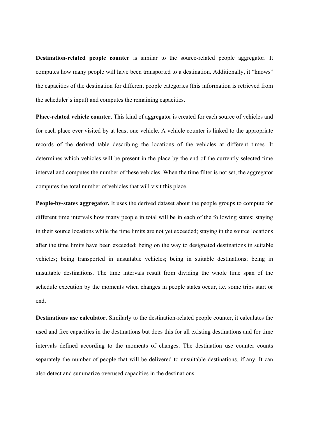**Destination-related people counter** is similar to the source-related people aggregator. It computes how many people will have been transported to a destination. Additionally, it "knows" the capacities of the destination for different people categories (this information is retrieved from the scheduler's input) and computes the remaining capacities.

**Place-related vehicle counter.** This kind of aggregator is created for each source of vehicles and for each place ever visited by at least one vehicle. A vehicle counter is linked to the appropriate records of the derived table describing the locations of the vehicles at different times. It determines which vehicles will be present in the place by the end of the currently selected time interval and computes the number of these vehicles. When the time filter is not set, the aggregator computes the total number of vehicles that will visit this place.

**People-by-states aggregator.** It uses the derived dataset about the people groups to compute for different time intervals how many people in total will be in each of the following states: staying in their source locations while the time limits are not yet exceeded; staying in the source locations after the time limits have been exceeded; being on the way to designated destinations in suitable vehicles; being transported in unsuitable vehicles; being in suitable destinations; being in unsuitable destinations. The time intervals result from dividing the whole time span of the schedule execution by the moments when changes in people states occur, i.e. some trips start or end.

**Destinations use calculator.** Similarly to the destination-related people counter, it calculates the used and free capacities in the destinations but does this for all existing destinations and for time intervals defined according to the moments of changes. The destination use counter counts separately the number of people that will be delivered to unsuitable destinations, if any. It can also detect and summarize overused capacities in the destinations.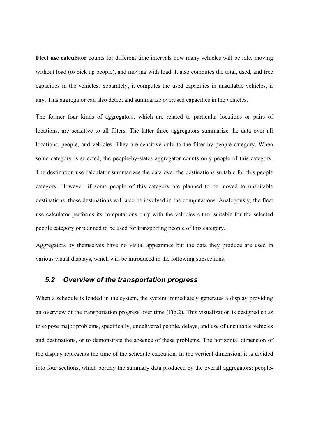**Fleet use calculator** counts for different time intervals how many vehicles will be idle, moving without load (to pick up people), and moving with load. It also computes the total, used, and free capacities in the vehicles. Separately, it computes the used capacities in unsuitable vehicles, if any. This aggregator can also detect and summarize overused capacities in the vehicles.

The former four kinds of aggregators, which are related to particular locations or pairs of locations, are sensitive to all filters. The latter three aggregators summarize the data over all locations, people, and vehicles. They are sensitive only to the filter by people category. When some category is selected, the people-by-states aggregator counts only people of this category. The destination use calculator summarizes the data over the destinations suitable for this people category. However, if some people of this category are planned to be moved to unsuitable destinations, those destinations will also be involved in the computations. Analogously, the fleet use calculator performs its computations only with the vehicles either suitable for the selected people category or planned to be used for transporting people of this category.

Aggregators by themselves have no visual appearance but the data they produce are used in various visual displays, which will be introduced in the following subsections.

# *5.2 Overview of the transportation progress*

When a schedule is loaded in the system, the system immediately generates a display providing an overview of the transportation progress over time (Fig.2). This visualization is designed so as to expose major problems, specifically, undelivered people, delays, and use of unsuitable vehicles and destinations, or to demonstrate the absence of these problems. The horizontal dimension of the display represents the time of the schedule execution. In the vertical dimension, it is divided into four sections, which portray the summary data produced by the overall aggregators: people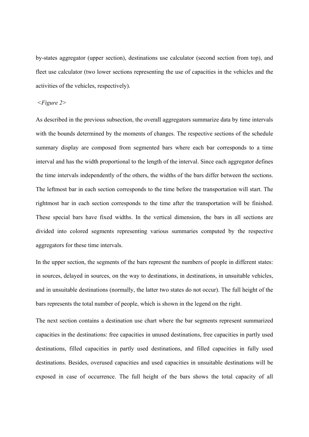by-states aggregator (upper section), destinations use calculator (second section from top), and fleet use calculator (two lower sections representing the use of capacities in the vehicles and the activities of the vehicles, respectively).

### *<Figure 2>*

As described in the previous subsection, the overall aggregators summarize data by time intervals with the bounds determined by the moments of changes. The respective sections of the schedule summary display are composed from segmented bars where each bar corresponds to a time interval and has the width proportional to the length of the interval. Since each aggregator defines the time intervals independently of the others, the widths of the bars differ between the sections. The leftmost bar in each section corresponds to the time before the transportation will start. The rightmost bar in each section corresponds to the time after the transportation will be finished. These special bars have fixed widths. In the vertical dimension, the bars in all sections are divided into colored segments representing various summaries computed by the respective aggregators for these time intervals.

In the upper section, the segments of the bars represent the numbers of people in different states: in sources, delayed in sources, on the way to destinations, in destinations, in unsuitable vehicles, and in unsuitable destinations (normally, the latter two states do not occur). The full height of the bars represents the total number of people, which is shown in the legend on the right.

The next section contains a destination use chart where the bar segments represent summarized capacities in the destinations: free capacities in unused destinations, free capacities in partly used destinations, filled capacities in partly used destinations, and filled capacities in fully used destinations. Besides, overused capacities and used capacities in unsuitable destinations will be exposed in case of occurrence. The full height of the bars shows the total capacity of all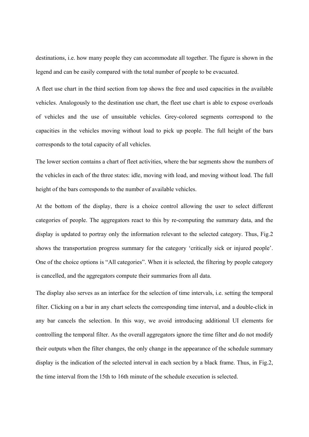destinations, i.e. how many people they can accommodate all together. The figure is shown in the legend and can be easily compared with the total number of people to be evacuated.

A fleet use chart in the third section from top shows the free and used capacities in the available vehicles. Analogously to the destination use chart, the fleet use chart is able to expose overloads of vehicles and the use of unsuitable vehicles. Grey-colored segments correspond to the capacities in the vehicles moving without load to pick up people. The full height of the bars corresponds to the total capacity of all vehicles.

The lower section contains a chart of fleet activities, where the bar segments show the numbers of the vehicles in each of the three states: idle, moving with load, and moving without load. The full height of the bars corresponds to the number of available vehicles.

At the bottom of the display, there is a choice control allowing the user to select different categories of people. The aggregators react to this by re-computing the summary data, and the display is updated to portray only the information relevant to the selected category. Thus, Fig.2 shows the transportation progress summary for the category 'critically sick or injured people'. One of the choice options is "All categories". When it is selected, the filtering by people category is cancelled, and the aggregators compute their summaries from all data.

The display also serves as an interface for the selection of time intervals, i.e. setting the temporal filter. Clicking on a bar in any chart selects the corresponding time interval, and a double-click in any bar cancels the selection. In this way, we avoid introducing additional UI elements for controlling the temporal filter. As the overall aggregators ignore the time filter and do not modify their outputs when the filter changes, the only change in the appearance of the schedule summary display is the indication of the selected interval in each section by a black frame. Thus, in Fig.2, the time interval from the 15th to 16th minute of the schedule execution is selected.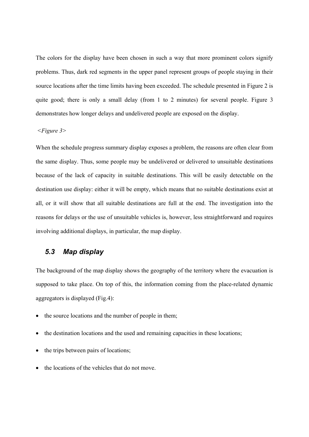The colors for the display have been chosen in such a way that more prominent colors signify problems. Thus, dark red segments in the upper panel represent groups of people staying in their source locations after the time limits having been exceeded. The schedule presented in Figure 2 is quite good; there is only a small delay (from 1 to 2 minutes) for several people. Figure 3 demonstrates how longer delays and undelivered people are exposed on the display.

## *<Figure 3>*

When the schedule progress summary display exposes a problem, the reasons are often clear from the same display. Thus, some people may be undelivered or delivered to unsuitable destinations because of the lack of capacity in suitable destinations. This will be easily detectable on the destination use display: either it will be empty, which means that no suitable destinations exist at all, or it will show that all suitable destinations are full at the end. The investigation into the reasons for delays or the use of unsuitable vehicles is, however, less straightforward and requires involving additional displays, in particular, the map display.

# *5.3 Map display*

The background of the map display shows the geography of the territory where the evacuation is supposed to take place. On top of this, the information coming from the place-related dynamic aggregators is displayed (Fig.4):

- the source locations and the number of people in them:
- the destination locations and the used and remaining capacities in these locations;
- the trips between pairs of locations;
- the locations of the vehicles that do not move.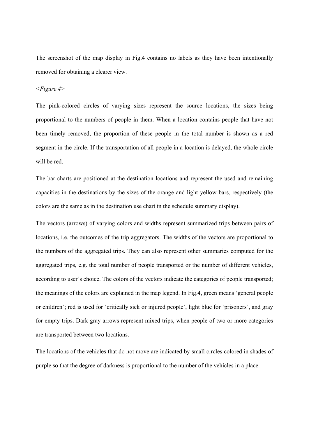The screenshot of the map display in Fig.4 contains no labels as they have been intentionally removed for obtaining a clearer view.

#### *<Figure 4>*

The pink-colored circles of varying sizes represent the source locations, the sizes being proportional to the numbers of people in them. When a location contains people that have not been timely removed, the proportion of these people in the total number is shown as a red segment in the circle. If the transportation of all people in a location is delayed, the whole circle will be red.

The bar charts are positioned at the destination locations and represent the used and remaining capacities in the destinations by the sizes of the orange and light yellow bars, respectively (the colors are the same as in the destination use chart in the schedule summary display).

The vectors (arrows) of varying colors and widths represent summarized trips between pairs of locations, i.e. the outcomes of the trip aggregators. The widths of the vectors are proportional to the numbers of the aggregated trips. They can also represent other summaries computed for the aggregated trips, e.g. the total number of people transported or the number of different vehicles, according to user's choice. The colors of the vectors indicate the categories of people transported; the meanings of the colors are explained in the map legend. In Fig.4, green means 'general people or children'; red is used for 'critically sick or injured people', light blue for 'prisoners', and gray for empty trips. Dark gray arrows represent mixed trips, when people of two or more categories are transported between two locations.

The locations of the vehicles that do not move are indicated by small circles colored in shades of purple so that the degree of darkness is proportional to the number of the vehicles in a place.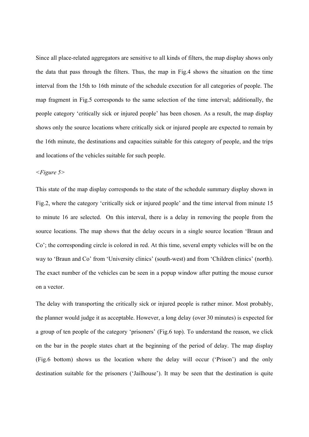Since all place-related aggregators are sensitive to all kinds of filters, the map display shows only the data that pass through the filters. Thus, the map in Fig.4 shows the situation on the time interval from the 15th to 16th minute of the schedule execution for all categories of people. The map fragment in Fig.5 corresponds to the same selection of the time interval; additionally, the people category 'critically sick or injured people' has been chosen. As a result, the map display shows only the source locations where critically sick or injured people are expected to remain by the 16th minute, the destinations and capacities suitable for this category of people, and the trips and locations of the vehicles suitable for such people.

#### *<Figure 5>*

This state of the map display corresponds to the state of the schedule summary display shown in Fig.2, where the category 'critically sick or injured people' and the time interval from minute 15 to minute 16 are selected. On this interval, there is a delay in removing the people from the source locations. The map shows that the delay occurs in a single source location 'Braun and Co'; the corresponding circle is colored in red. At this time, several empty vehicles will be on the way to 'Braun and Co' from 'University clinics' (south-west) and from 'Children clinics' (north). The exact number of the vehicles can be seen in a popup window after putting the mouse cursor on a vector.

The delay with transporting the critically sick or injured people is rather minor. Most probably, the planner would judge it as acceptable. However, a long delay (over 30 minutes) is expected for a group of ten people of the category 'prisoners' (Fig.6 top). To understand the reason, we click on the bar in the people states chart at the beginning of the period of delay. The map display (Fig.6 bottom) shows us the location where the delay will occur ('Prison') and the only destination suitable for the prisoners ('Jailhouse'). It may be seen that the destination is quite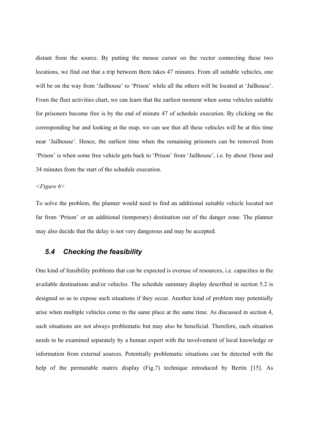distant from the source. By putting the mouse cursor on the vector connecting these two locations, we find out that a trip between them takes 47 minutes. From all suitable vehicles, one will be on the way from 'Jailhouse' to 'Prison' while all the others will be located at 'Jailhouse'. From the fleet activities chart, we can learn that the earliest moment when some vehicles suitable for prisoners become free is by the end of minute 47 of schedule execution. By clicking on the corresponding bar and looking at the map, we can see that all these vehicles will be at this time near 'Jailhouse'. Hence, the earliest time when the remaining prisoners can be removed from 'Prison' is when some free vehicle gets back to 'Prison' from 'Jailhouse', i.e. by about 1hour and 34 minutes from the start of the schedule execution.

#### *<Figure 6>*

To solve the problem, the planner would need to find an additional suitable vehicle located not far from 'Prison' or an additional (temporary) destination out of the danger zone. The planner may also decide that the delay is not very dangerous and may be accepted.

# *5.4 Checking the feasibility*

One kind of feasibility problems that can be expected is overuse of resources, i.e. capacities in the available destinations and/or vehicles. The schedule summary display described in section 5.2 is designed so as to expose such situations if they occur. Another kind of problem may potentially arise when multiple vehicles come to the same place at the same time. As discussed in section 4, such situations are not always problematic but may also be beneficial. Therefore, each situation needs to be examined separately by a human expert with the involvement of local knowledge or information from external sources. Potentially problematic situations can be detected with the help of the permutable matrix display (Fig.7) technique introduced by Bertin [15]. As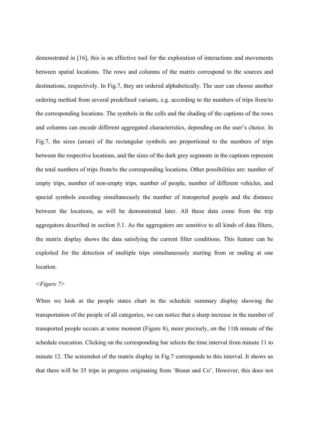demonstrated in [16], this is an effective tool for the exploration of interactions and movements between spatial locations. The rows and columns of the matrix correspond to the sources and destinations, respectively. In Fig.7, they are ordered alphabetically. The user can choose another ordering method from several predefined variants, e.g. according to the numbers of trips from/to the corresponding locations. The symbols in the cells and the shading of the captions of the rows and columns can encode different aggregated characteristics, depending on the user's choice. In Fig.7, the sizes (areas) of the rectangular symbols are proportional to the numbers of trips between the respective locations, and the sizes of the dark grey segments in the captions represent the total numbers of trips from/to the corresponding locations. Other possibilities are: number of empty trips, number of non-empty trips, number of people, number of different vehicles, and special symbols encoding simultaneously the number of transported people and the distance between the locations, as will be demonstrated later. All these data come from the trip aggregators described in section 5.1. As the aggregators are sensitive to all kinds of data filters, the matrix display shows the data satisfying the current filter conditions. This feature can be exploited for the detection of multiple trips simultaneously starting from or ending at one location.

### *<Figure 7>*

When we look at the people states chart in the schedule summary display showing the transportation of the people of all categories, we can notice that a sharp increase in the number of transported people occurs at some moment (Figure 8), more precisely, on the 11th minute of the schedule execution. Clicking on the corresponding bar selects the time interval from minute 11 to minute 12. The screenshot of the matrix display in Fig.7 corresponds to this interval. It shows us that there will be 35 trips in progress originating from 'Braun and Co'. However, this does not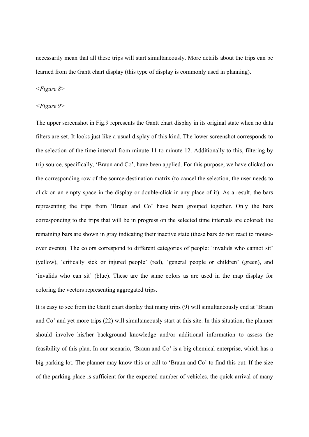necessarily mean that all these trips will start simultaneously. More details about the trips can be learned from the Gantt chart display (this type of display is commonly used in planning).

### *<Figure 8>*

#### *<Figure 9>*

The upper screenshot in Fig.9 represents the Gantt chart display in its original state when no data filters are set. It looks just like a usual display of this kind. The lower screenshot corresponds to the selection of the time interval from minute 11 to minute 12. Additionally to this, filtering by trip source, specifically, 'Braun and Co', have been applied. For this purpose, we have clicked on the corresponding row of the source-destination matrix (to cancel the selection, the user needs to click on an empty space in the display or double-click in any place of it). As a result, the bars representing the trips from 'Braun and Co' have been grouped together. Only the bars corresponding to the trips that will be in progress on the selected time intervals are colored; the remaining bars are shown in gray indicating their inactive state (these bars do not react to mouseover events). The colors correspond to different categories of people: 'invalids who cannot sit' (yellow), 'critically sick or injured people' (red), 'general people or children' (green), and 'invalids who can sit' (blue). These are the same colors as are used in the map display for coloring the vectors representing aggregated trips.

It is easy to see from the Gantt chart display that many trips (9) will simultaneously end at 'Braun and Co' and yet more trips (22) will simultaneously start at this site. In this situation, the planner should involve his/her background knowledge and/or additional information to assess the feasibility of this plan. In our scenario, 'Braun and Co' is a big chemical enterprise, which has a big parking lot. The planner may know this or call to 'Braun and Co' to find this out. If the size of the parking place is sufficient for the expected number of vehicles, the quick arrival of many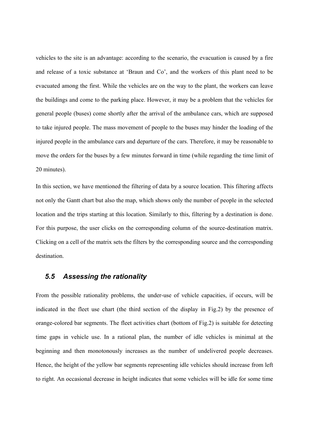vehicles to the site is an advantage: according to the scenario, the evacuation is caused by a fire and release of a toxic substance at 'Braun and Co', and the workers of this plant need to be evacuated among the first. While the vehicles are on the way to the plant, the workers can leave the buildings and come to the parking place. However, it may be a problem that the vehicles for general people (buses) come shortly after the arrival of the ambulance cars, which are supposed to take injured people. The mass movement of people to the buses may hinder the loading of the injured people in the ambulance cars and departure of the cars. Therefore, it may be reasonable to move the orders for the buses by a few minutes forward in time (while regarding the time limit of 20 minutes).

In this section, we have mentioned the filtering of data by a source location. This filtering affects not only the Gantt chart but also the map, which shows only the number of people in the selected location and the trips starting at this location. Similarly to this, filtering by a destination is done. For this purpose, the user clicks on the corresponding column of the source-destination matrix. Clicking on a cell of the matrix sets the filters by the corresponding source and the corresponding destination.

## *5.5 Assessing the rationality*

From the possible rationality problems, the under-use of vehicle capacities, if occurs, will be indicated in the fleet use chart (the third section of the display in Fig.2) by the presence of orange-colored bar segments. The fleet activities chart (bottom of Fig.2) is suitable for detecting time gaps in vehicle use. In a rational plan, the number of idle vehicles is minimal at the beginning and then monotonously increases as the number of undelivered people decreases. Hence, the height of the yellow bar segments representing idle vehicles should increase from left to right. An occasional decrease in height indicates that some vehicles will be idle for some time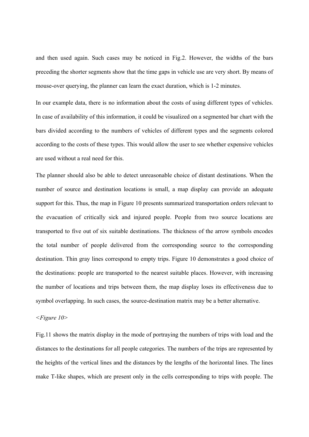and then used again. Such cases may be noticed in Fig.2. However, the widths of the bars preceding the shorter segments show that the time gaps in vehicle use are very short. By means of mouse-over querying, the planner can learn the exact duration, which is 1-2 minutes.

In our example data, there is no information about the costs of using different types of vehicles. In case of availability of this information, it could be visualized on a segmented bar chart with the bars divided according to the numbers of vehicles of different types and the segments colored according to the costs of these types. This would allow the user to see whether expensive vehicles are used without a real need for this.

The planner should also be able to detect unreasonable choice of distant destinations. When the number of source and destination locations is small, a map display can provide an adequate support for this. Thus, the map in Figure 10 presents summarized transportation orders relevant to the evacuation of critically sick and injured people. People from two source locations are transported to five out of six suitable destinations. The thickness of the arrow symbols encodes the total number of people delivered from the corresponding source to the corresponding destination. Thin gray lines correspond to empty trips. Figure 10 demonstrates a good choice of the destinations: people are transported to the nearest suitable places. However, with increasing the number of locations and trips between them, the map display loses its effectiveness due to symbol overlapping. In such cases, the source-destination matrix may be a better alternative.

#### *<Figure 10>*

Fig.11 shows the matrix display in the mode of portraying the numbers of trips with load and the distances to the destinations for all people categories. The numbers of the trips are represented by the heights of the vertical lines and the distances by the lengths of the horizontal lines. The lines make T-like shapes, which are present only in the cells corresponding to trips with people. The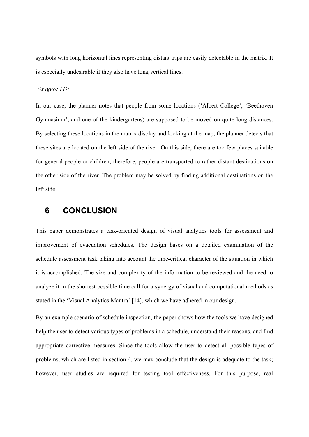symbols with long horizontal lines representing distant trips are easily detectable in the matrix. It is especially undesirable if they also have long vertical lines.

 *<Figure 11>* 

In our case, the planner notes that people from some locations ('Albert College', 'Beethoven Gymnasium', and one of the kindergartens) are supposed to be moved on quite long distances. By selecting these locations in the matrix display and looking at the map, the planner detects that these sites are located on the left side of the river. On this side, there are too few places suitable for general people or children; therefore, people are transported to rather distant destinations on the other side of the river. The problem may be solved by finding additional destinations on the left side.

# **6 CONCLUSION**

This paper demonstrates a task-oriented design of visual analytics tools for assessment and improvement of evacuation schedules. The design bases on a detailed examination of the schedule assessment task taking into account the time-critical character of the situation in which it is accomplished. The size and complexity of the information to be reviewed and the need to analyze it in the shortest possible time call for a synergy of visual and computational methods as stated in the 'Visual Analytics Mantra' [14], which we have adhered in our design.

By an example scenario of schedule inspection, the paper shows how the tools we have designed help the user to detect various types of problems in a schedule, understand their reasons, and find appropriate corrective measures. Since the tools allow the user to detect all possible types of problems, which are listed in section 4, we may conclude that the design is adequate to the task; however, user studies are required for testing tool effectiveness. For this purpose, real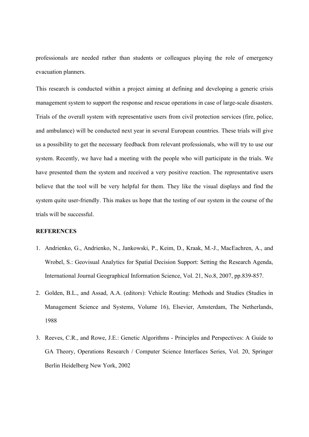professionals are needed rather than students or colleagues playing the role of emergency evacuation planners.

This research is conducted within a project aiming at defining and developing a generic crisis management system to support the response and rescue operations in case of large-scale disasters. Trials of the overall system with representative users from civil protection services (fire, police, and ambulance) will be conducted next year in several European countries. These trials will give us a possibility to get the necessary feedback from relevant professionals, who will try to use our system. Recently, we have had a meeting with the people who will participate in the trials. We have presented them the system and received a very positive reaction. The representative users believe that the tool will be very helpful for them. They like the visual displays and find the system quite user-friendly. This makes us hope that the testing of our system in the course of the trials will be successful.

## **REFERENCES**

- 1. Andrienko, G., Andrienko, N., Jankowski, P., Keim, D., Kraak, M.-J., MacEachren, A., and Wrobel, S.: Geovisual Analytics for Spatial Decision Support: Setting the Research Agenda, International Journal Geographical Information Science, Vol. 21, No.8, 2007, pp.839-857.
- 2. Golden, B.L., and Assad, A.A. (editors): Vehicle Routing: Methods and Studies (Studies in Management Science and Systems, Volume 16), Elsevier, Amsterdam, The Netherlands, 1988
- 3. Reeves, C.R., and Rowe, J.E.: Genetic Algorithms Principles and Perspectives: A Guide to GA Theory, Operations Research / Computer Science Interfaces Series, Vol. 20, Springer Berlin Heidelberg New York, 2002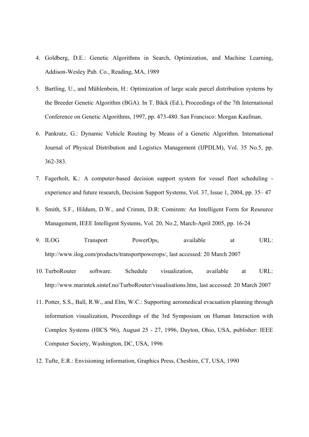- 4. Goldberg, D.E.: Genetic Algorithms in Search, Optimization, and Machine Learning, Addison-Wesley Pub. Co., Reading, MA, 1989
- 5. Bartling, U., and Mühlenbein, H.: Optimization of large scale parcel distribution systems by the Breeder Genetic Algorithm (BGA). In T. Bäck (Ed.), Proceedings of the 7th International Conference on Genetic Algorithms, 1997, pp. 473-480. San Francisco: Morgan Kaufman.
- 6. Pankratz, G.: Dynamic Vehicle Routing by Means of a Genetic Algorithm. International Journal of Physical Distribution and Logistics Management (IJPDLM), Vol. 35 No.5, pp. 362-383.
- 7. Fagerholt, K.: A computer-based decision support system for vessel fleet scheduling experience and future research, Decision Support Systems, Vol. 37, Issue 1, 2004, pp. 35– 47
- 8. Smith, S.F., Hildum, D.W., and Crimm, D.R: Comirem: An Intelligent Form for Resource Management, IEEE Intelligent Systems, Vol. 20, No.2, March-April 2005, pp. 16-24
- 9. ILOG Transport PowerOps, available at URL: http://www.ilog.com/products/transportpowerops/, last accessed: 20 March 2007
- 10. TurboRouter software. Schedule visualization, available at URL: http://www.marintek.sintef.no/TurboRouter/visualisations.htm, last accessed: 20 March 2007
- 11. Potter, S.S., Ball, R.W., and Elm, W.C.: Supporting aeromedical evacuation planning through information visualization, Proceedings of the 3rd Symposium on Human Interaction with Complex Systems (HICS '96), August 25 - 27, 1996, Dayton, Ohio, USA, publisher: IEEE Computer Society, Washington, DC, USA, 1996
- 12. Tufte, E.R.: Envisioning information, Graphics Press, Cheshire, CT, USA, 1990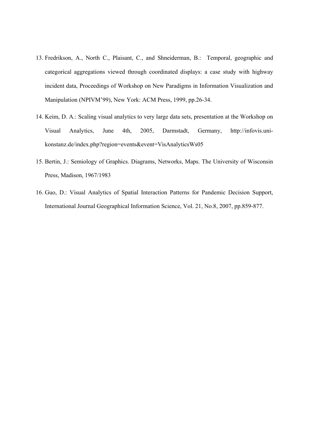- 13. Fredrikson, A., North C., Plaisant, C., and Shneiderman, B.: Temporal, geographic and categorical aggregations viewed through coordinated displays: a case study with highway incident data, Proceedings of Workshop on New Paradigms in Information Visualization and Manipulation (NPIVM'99), New York: ACM Press, 1999, pp.26-34.
- 14. Keim, D. A.: Scaling visual analytics to very large data sets, presentation at the Workshop on Visual Analytics, June 4th, 2005, Darmstadt, Germany, http://infovis.unikonstanz.de/index.php?region=events&event=VisAnalyticsWs05
- 15. Bertin, J.: Semiology of Graphics. Diagrams, Networks, Maps. The University of Wisconsin Press, Madison, 1967/1983
- 16. Guo, D.: Visual Analytics of Spatial Interaction Patterns for Pandemic Decision Support, International Journal Geographical Information Science, Vol. 21, No.8, 2007, pp.859-877.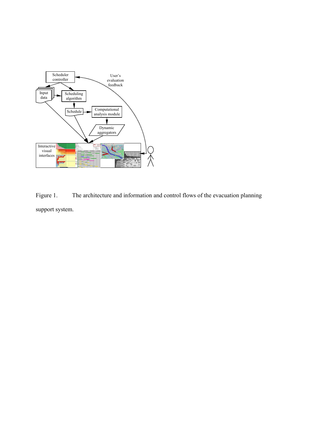

Figure 1. The architecture and information and control flows of the evacuation planning support system.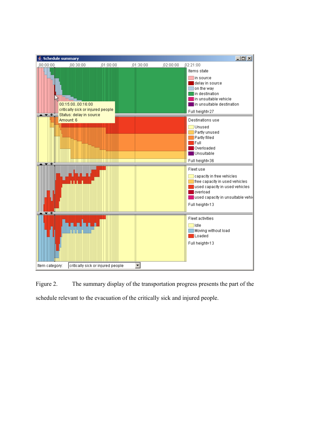

Figure 2. The summary display of the transportation progress presents the part of the schedule relevant to the evacuation of the critically sick and injured people.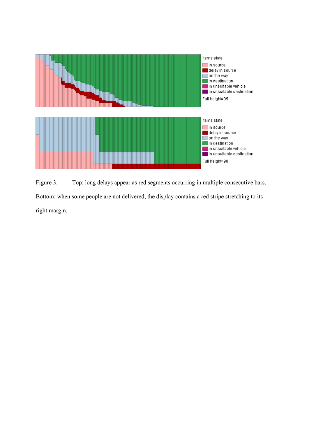

Figure 3. Top: long delays appear as red segments occurring in multiple consecutive bars. Bottom: when some people are not delivered, the display contains a red stripe stretching to its right margin.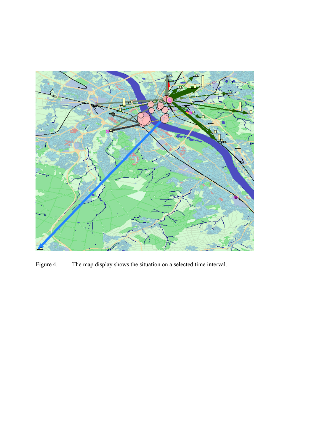

Figure 4. The map display shows the situation on a selected time interval.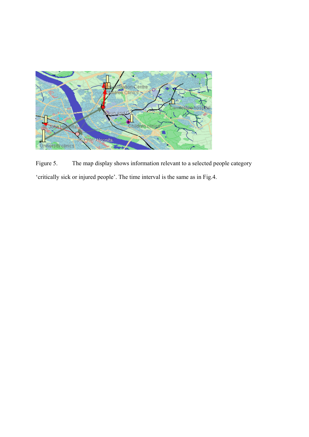

Figure 5. The map display shows information relevant to a selected people category 'critically sick or injured people'. The time interval is the same as in Fig.4.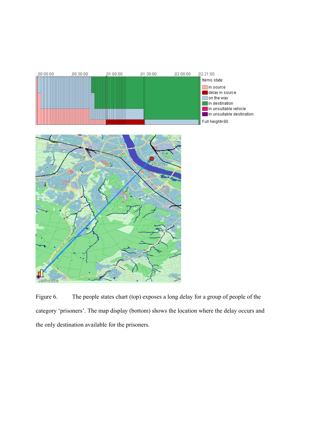

Figure 6. The people states chart (top) exposes a long delay for a group of people of the category 'prisoners'. The map display (bottom) shows the location where the delay occurs and the only destination available for the prisoners.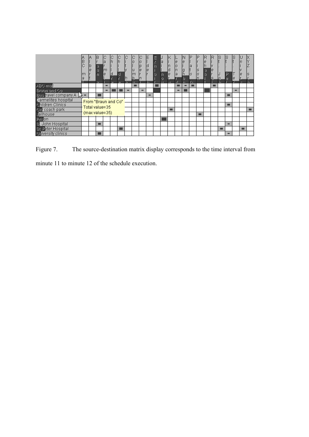|                           | в<br>С<br>m<br>la | lb<br>е             | B<br>a<br>ų<br>z. | la<br>m<br>le | с<br>lh<br>d<br>a, | e | h<br>r. | IС<br>10<br>lu<br>Im<br>lb. | IС<br>۱o<br>Þ<br>le<br>In | Ε<br>O<br>le<br>ю | 目<br>Ź,<br>ħ<br>b | la<br>ħ<br>o | n<br>d<br>e | le<br>0<br>In<br>la | le<br>lg<br>h<br>b<br>m | la<br>lo<br>G. | Ρ<br>IS<br>lo | ΙR<br> e<br> h<br>a<br>b | ΙR<br>M<br>e<br>S, | ΙS<br>Q | န္<br>Þ<br>e             | Įs<br>e | μ<br>le<br>c. | ΙX<br>ıs<br>ь |
|---------------------------|-------------------|---------------------|-------------------|---------------|--------------------|---|---------|-----------------------------|---------------------------|-------------------|-------------------|--------------|-------------|---------------------|-------------------------|----------------|---------------|--------------------------|--------------------|---------|--------------------------|---------|---------------|---------------|
| ABC mail                  |                   |                     |                   | -             |                    |   |         | ▬                           |                           |                   |                   |              |             | ▄                   | $\equiv$                |                |               |                          | ▄                  |         |                          |         |               |               |
| Braun and Co.             |                   |                     |                   |               |                    |   | -       |                             | -                         |                   |                   |              |             |                     |                         |                |               |                          |                    |         |                          | -       |               |               |
| Bus travel company A      | -                 |                     |                   |               |                    |   |         |                             |                           | -                 |                   |              |             |                     |                         |                |               |                          |                    |         | ▬                        |         |               |               |
| Carmelites hospital       |                   | From "Braun and Co" |                   |               |                    |   |         |                             |                           |                   |                   |              |             |                     |                         |                |               |                          |                    |         |                          |         |               |               |
| Children Clinics          |                   | Total value=35      |                   |               |                    |   |         |                             |                           |                   |                   |              |             |                     |                         |                |               |                          |                    |         | ▬                        |         |               |               |
| City coach park           |                   |                     |                   |               |                    |   |         |                             |                           |                   |                   |              | ▬           |                     |                         |                |               |                          |                    |         |                          |         |               | ▬             |
| Jailhouse                 |                   | (max value=35)      |                   |               |                    |   |         |                             |                           |                   |                   |              |             |                     |                         |                | ▬             |                          |                    |         |                          |         |               |               |
| Prison                    |                   |                     |                   |               |                    |   |         |                             |                           |                   |                   |              |             |                     |                         |                |               |                          |                    |         |                          |         |               |               |
| St. John Hospital         |                   |                     | ▬                 |               |                    |   |         |                             |                           |                   |                   |              |             |                     |                         |                |               |                          |                    |         | -                        |         |               |               |
| St. Peter Hospital        |                   |                     |                   |               |                    |   |         |                             |                           |                   |                   |              |             |                     |                         |                |               |                          |                    | ▬       |                          |         | ▬             |               |
| <b>University clinics</b> |                   |                     |                   |               |                    |   |         |                             |                           |                   |                   |              |             |                     |                         |                |               |                          |                    |         | $\overline{\phantom{a}}$ |         |               |               |

Figure 7. The source-destination matrix display corresponds to the time interval from minute 11 to minute 12 of the schedule execution.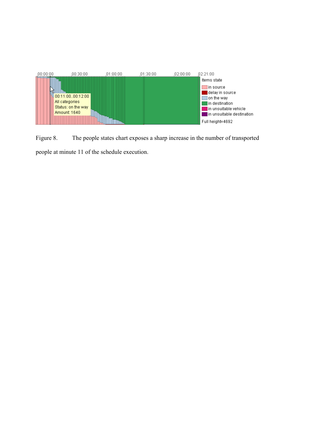

Figure 8. The people states chart exposes a sharp increase in the number of transported people at minute 11 of the schedule execution.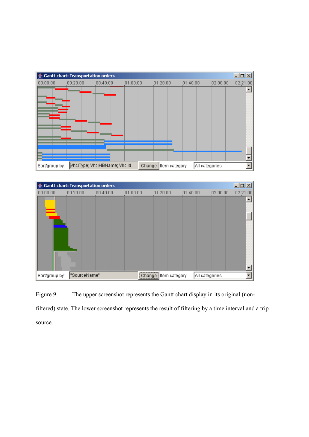| 囈                              | Gantt chart: Transportation orders |                             |          |        |          |                |                | <u> 그미지</u> |          |          |
|--------------------------------|------------------------------------|-----------------------------|----------|--------|----------|----------------|----------------|-------------|----------|----------|
| 00:00:00                       | 00:20:00                           | 00:40:00                    | 01:00:00 |        | 01:20:00 |                | 01:40:00       |             | 02:00:00 | 02:21:00 |
| $\overline{\phantom{a}}$<br>-- |                                    |                             |          |        |          |                |                |             |          |          |
| Sort/group by:                 |                                    | McIType; VhcIHBName; VhcIId |          | Change |          | Item category: | All categories |             |          |          |

| Gantt chart: Transportation orders |              |          |          |          |          |                |                |          | $\vert x \vert$ |
|------------------------------------|--------------|----------|----------|----------|----------|----------------|----------------|----------|-----------------|
| 00:00:00                           | 00:20:00     | 00:40:00 | 01:00:00 |          | 01:20:00 |                | 01:40:00       | 02:00:00 | 02:21:00        |
| <b>COLLEGE</b>                     |              |          |          |          |          |                |                |          |                 |
| Sort/group by:                     | "SourceName" |          |          | [Change] |          | Item category: | All categories |          |                 |

Figure 9. The upper screenshot represents the Gantt chart display in its original (nonfiltered) state. The lower screenshot represents the result of filtering by a time interval and a trip source.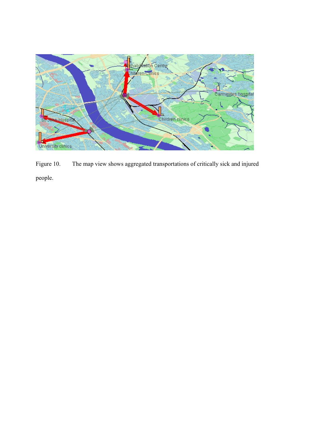

Figure 10. The map view shows aggregated transportations of critically sick and injured people.